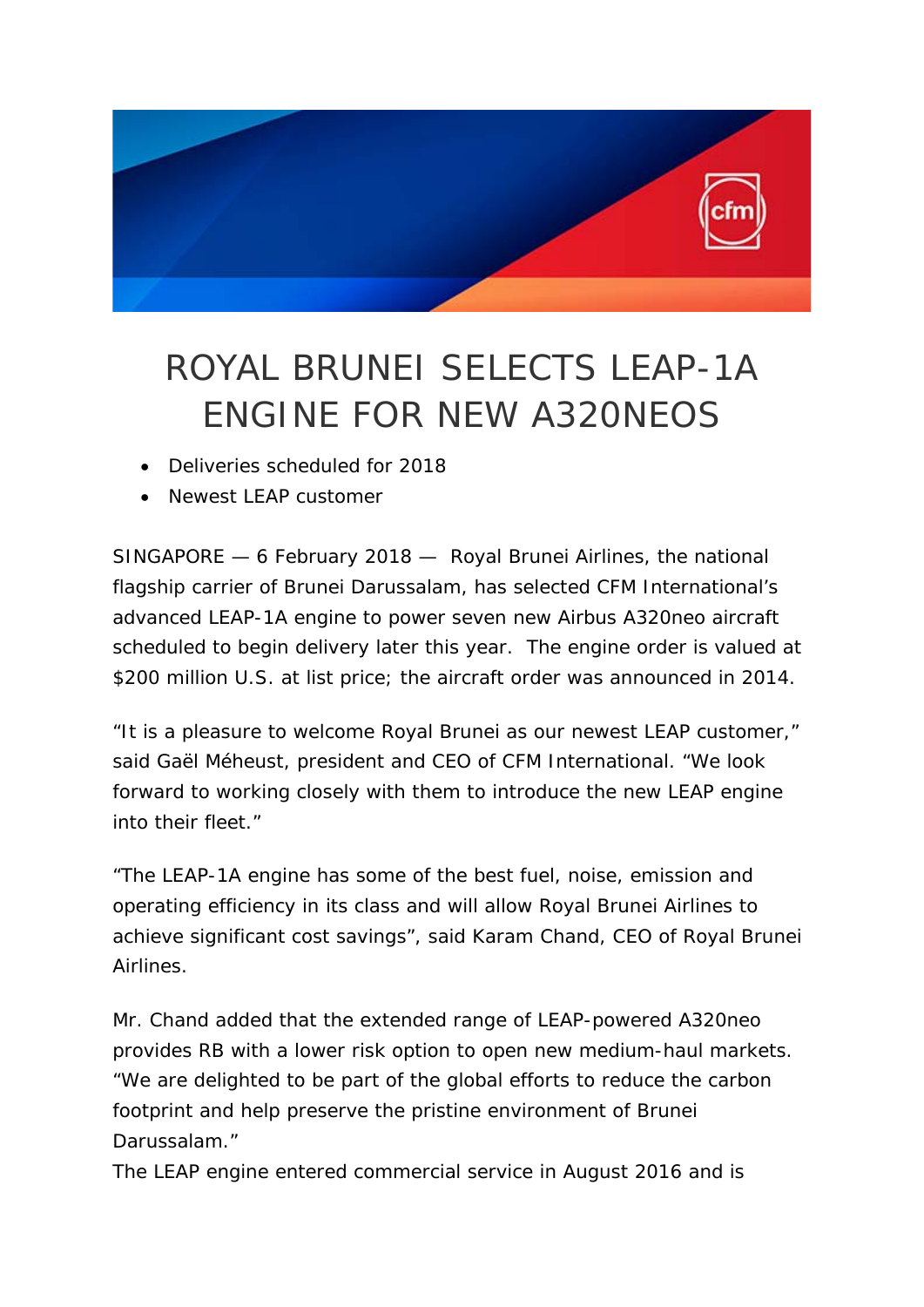

## ROYAL BRUNEI SELECTS LEAP-1A ENGINE FOR NEW A320NEOS

- Deliveries scheduled for 2018
- Newest LEAP customer

SINGAPORE — 6 February 2018 — Royal Brunei Airlines, the national flagship carrier of Brunei Darussalam, has selected CFM International's advanced LEAP-1A engine to power seven new Airbus A320neo aircraft scheduled to begin delivery later this year. The engine order is valued at \$200 million U.S. at list price; the aircraft order was announced in 2014.

"It is a pleasure to welcome Royal Brunei as our newest LEAP customer," said Gaël Méheust, president and CEO of CFM International. "We look forward to working closely with them to introduce the new LEAP engine into their fleet."

"The LEAP-1A engine has some of the best fuel, noise, emission and operating efficiency in its class and will allow Royal Brunei Airlines to achieve significant cost savings", said Karam Chand, CEO of Royal Brunei Airlines.

Mr. Chand added that the extended range of LEAP-powered A320neo provides RB with a lower risk option to open new medium-haul markets. "We are delighted to be part of the global efforts to reduce the carbon footprint and help preserve the pristine environment of Brunei Darussalam."

The LEAP engine entered commercial service in August 2016 and is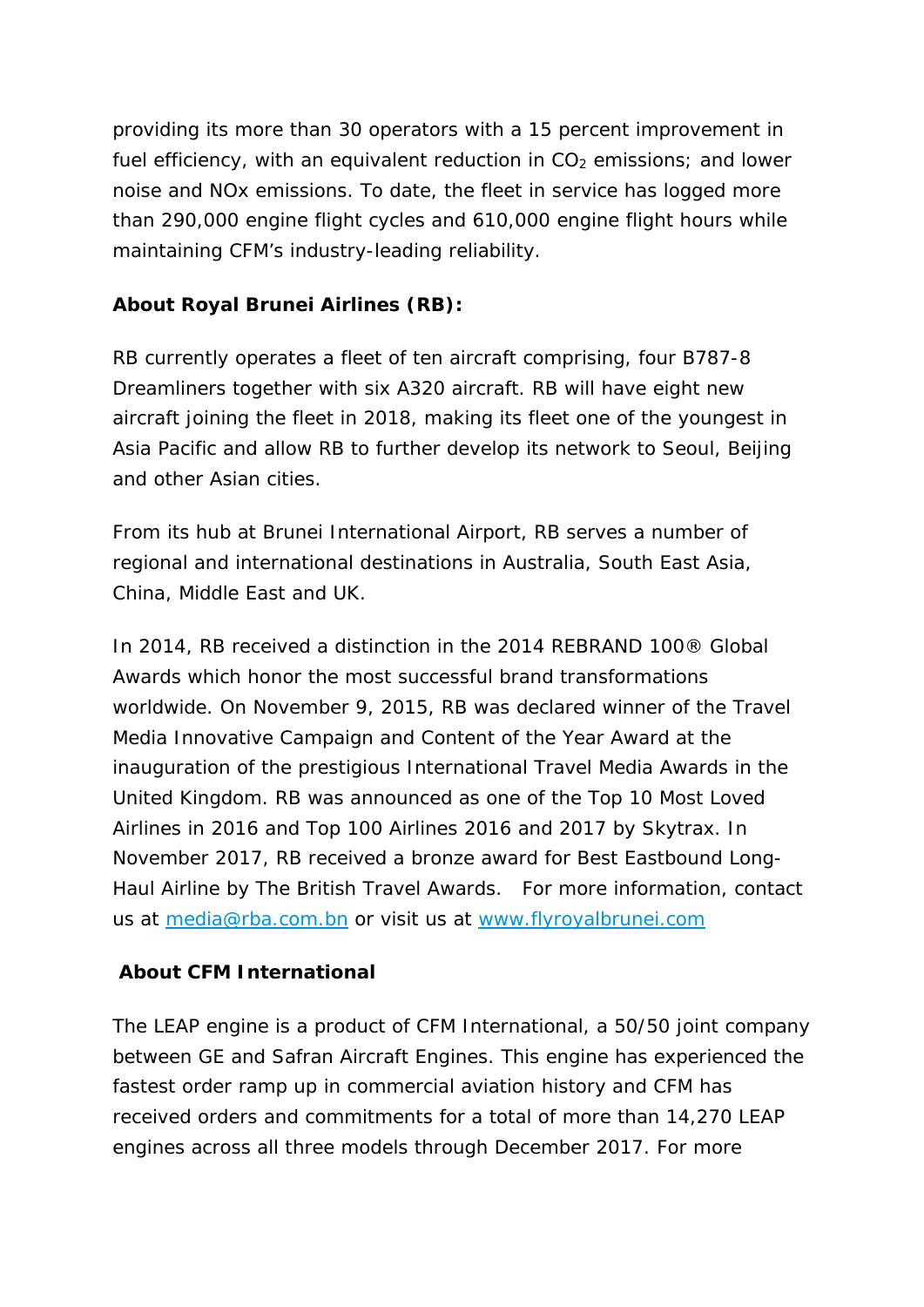providing its more than 30 operators with a 15 percent improvement in fuel efficiency, with an equivalent reduction in  $CO<sub>2</sub>$  emissions; and lower noise and NOx emissions. To date, the fleet in service has logged more than 290,000 engine flight cycles and 610,000 engine flight hours while maintaining CFM's industry-leading reliability.

## **About Royal Brunei Airlines (RB):**

RB currently operates a fleet of ten aircraft comprising, four B787-8 Dreamliners together with six A320 aircraft. RB will have eight new aircraft joining the fleet in 2018, making its fleet one of the youngest in Asia Pacific and allow RB to further develop its network to Seoul, Beijing and other Asian cities.

From its hub at Brunei International Airport, RB serves a number of regional and international destinations in Australia, South East Asia, China, Middle East and UK.

In 2014, RB received a distinction in the 2014 REBRAND 100® Global Awards which honor the most successful brand transformations worldwide. On November 9, 2015, RB was declared winner of the Travel Media Innovative Campaign and Content of the Year Award at the inauguration of the prestigious International Travel Media Awards in the United Kingdom. RB was announced as one of the Top 10 Most Loved Airlines in 2016 and Top 100 Airlines 2016 and 2017 by Skytrax. In November 2017, RB received a bronze award for Best Eastbound Long-Haul Airline by The British Travel Awards. For more information, contact us at media@rba.com.bn or visit us at www.flyroyalbrunei.com

## **About CFM International**

The LEAP engine is a product of CFM International, a 50/50 joint company between GE and Safran Aircraft Engines. This engine has experienced the fastest order ramp up in commercial aviation history and CFM has received orders and commitments for a total of more than 14,270 LEAP engines across all three models through December 2017. For more